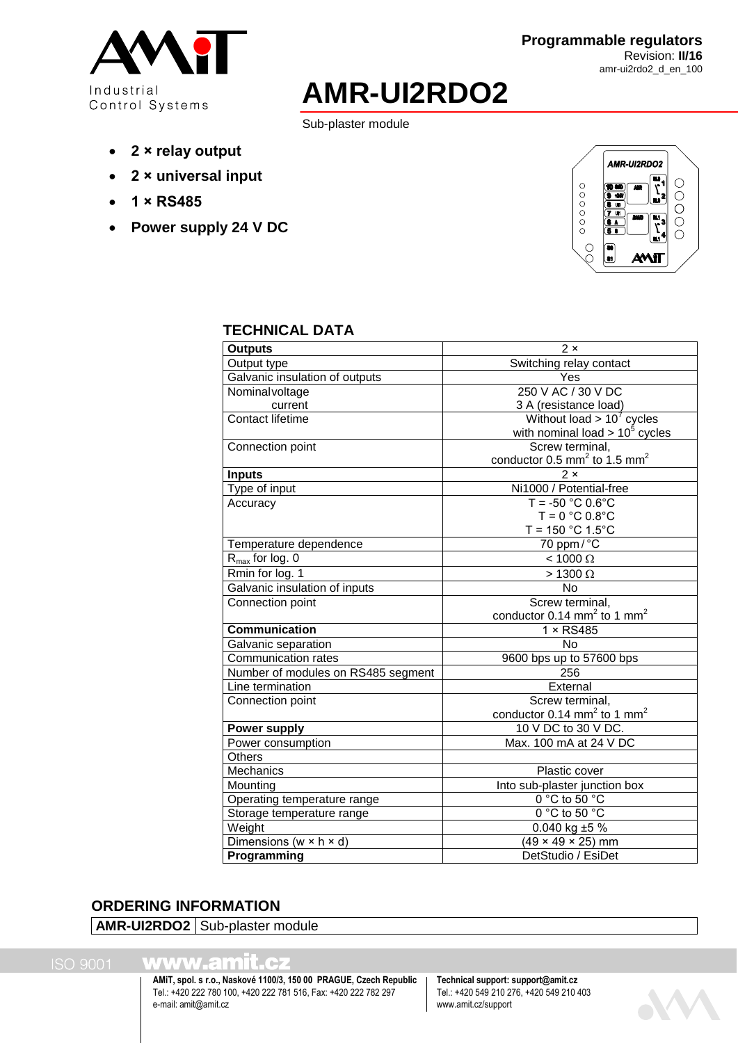

# **AMR-UI2RDO2**

Sub-plaster module

- **2 × relay output**
- **2 × universal input**
- **1 × RS485**
- **Power supply 24 V DC**



#### **TECHNICAL DATA**

| <b>Outputs</b>                       | $2 \times$                                             |
|--------------------------------------|--------------------------------------------------------|
| Output type                          | Switching relay contact                                |
| Galvanic insulation of outputs       | Yes                                                    |
| Nominalvoltage                       | 250 V AC / 30 V DC                                     |
| current                              | 3 A (resistance load)                                  |
| <b>Contact lifetime</b>              | Without load $> 107$ cycles                            |
|                                      | with nominal load $> 10^5$ cycles                      |
| Connection point                     | Screw terminal,                                        |
|                                      | conductor $0.5$ mm <sup>2</sup> to 1.5 mm <sup>2</sup> |
| <b>Inputs</b>                        | $2 \times$                                             |
| Type of input                        | Ni1000 / Potential-free                                |
| Accuracy                             | $T = -50 °C 0.6 °C$                                    |
|                                      | $T = 0 °C 0.8 °C$                                      |
|                                      | $T = 150 °C 1.5 °C$                                    |
| Temperature dependence               | 70 ppm/°C                                              |
| $R_{\text{max}}$ for log. 0          | $< 1000$ $\Omega$                                      |
| Rmin for log. 1                      | $>1300 \Omega$                                         |
| Galvanic insulation of inputs        | <b>No</b>                                              |
| Connection point                     | Screw terminal,                                        |
|                                      | conductor $0.14$ mm <sup>2</sup> to 1 mm <sup>2</sup>  |
| <b>Communication</b>                 | $1 \times$ RS485                                       |
| Galvanic separation                  | <b>No</b>                                              |
| Communication rates                  | 9600 bps up to 57600 bps                               |
| Number of modules on RS485 segment   | 256                                                    |
| Line termination                     | External                                               |
| Connection point                     | Screw terminal,                                        |
|                                      | conductor $0.14$ mm <sup>2</sup> to 1 mm <sup>2</sup>  |
| <b>Power supply</b>                  | 10 V DC to 30 V DC.                                    |
| Power consumption                    | Max. 100 mA at 24 V DC                                 |
| <b>Others</b>                        |                                                        |
| Mechanics                            | Plastic cover                                          |
| Mounting                             | Into sub-plaster junction box                          |
| Operating temperature range          | $0^{\circ}$ C to 50 $^{\circ}$ C                       |
| Storage temperature range            | 0 °C to 50 °C                                          |
| Weight                               | 0.040 kg $±5%$                                         |
| Dimensions ( $w \times h \times d$ ) | $(49 \times 49 \times 25)$ mm                          |
| <b>Programming</b>                   | DetStudio / EsiDet                                     |
|                                      |                                                        |

# **ORDERING INFORMATION**

**AMR-UI2RDO2** Sub-plaster module

www.amit.cz

**AMiT, spol. s r.o., Naskové 1100/3, 150 00 PRAGUE, Czech Republic Technical support: support@amit.cz** Tel.: +420 222 780 100, +420 222 781 516, Fax: +420 222 782 297 e-mail[: amit@amit.cz](mailto:amit@amit.cz) www.amit.cz/support